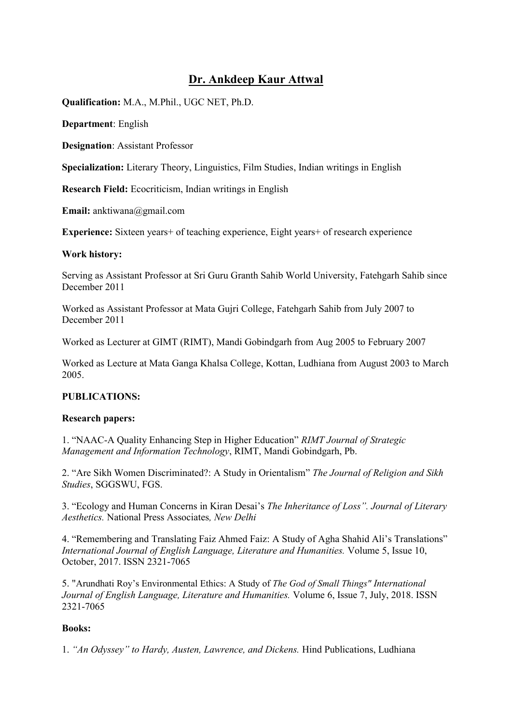# **Dr. Ankdeep Kaur Attwal**

**Qualification:** M.A., M.Phil., UGC NET, Ph.D.

**Department**: English

**Designation**: Assistant Professor

**Specialization:** Literary Theory, Linguistics, Film Studies, Indian writings in English

**Research Field:** Ecocriticism, Indian writings in English

**Email:** anktiwana@gmail.com

**Experience:** Sixteen years+ of teaching experience, Eight years+ of research experience

#### **Work history:**

Serving as Assistant Professor at Sri Guru Granth Sahib World University, Fatehgarh Sahib since December 2011

Worked as Assistant Professor at Mata Gujri College, Fatehgarh Sahib from July 2007 to December 2011

Worked as Lecturer at GIMT (RIMT), Mandi Gobindgarh from Aug 2005 to February 2007

Worked as Lecture at Mata Ganga Khalsa College, Kottan, Ludhiana from August 2003 to March 2005.

# **PUBLICATIONS:**

# **Research papers:**

1. "NAAC-A Quality Enhancing Step in Higher Education" *RIMT Journal of Strategic Management and Information Technology*, RIMT, Mandi Gobindgarh, Pb.

2. "Are Sikh Women Discriminated?: A Study in Orientalism" *The Journal of Religion and Sikh Studies*, SGGSWU, FGS.

3. "Ecology and Human Concerns in Kiran Desai's *The Inheritance of Loss". Journal of Literary Aesthetics.* National Press Associates*, New Delhi* 

4. "Remembering and Translating Faiz Ahmed Faiz: A Study of Agha Shahid Ali's Translations" *International Journal of English Language, Literature and Humanities.* Volume 5, Issue 10, October, 2017. ISSN 2321-7065

5. "Arundhati Roy's Environmental Ethics: A Study of *The God of Small Things" International Journal of English Language, Literature and Humanities.* Volume 6, Issue 7, July, 2018. ISSN 2321-7065

# **Books:**

1. *"An Odyssey" to Hardy, Austen, Lawrence, and Dickens.* Hind Publications, Ludhiana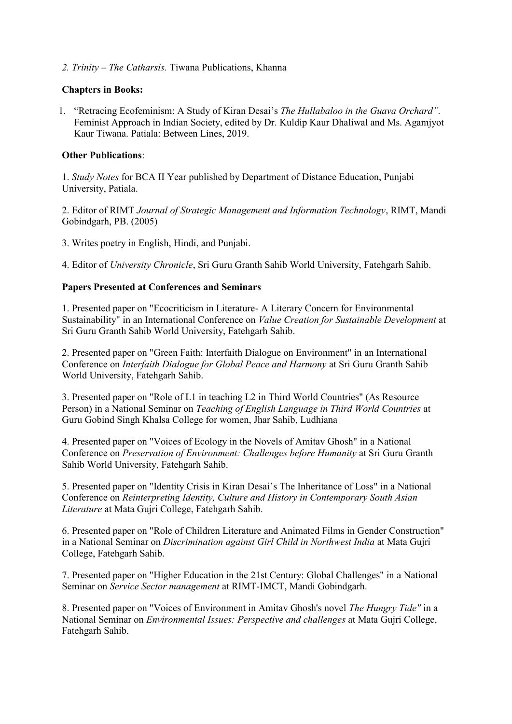*2. Trinity – The Catharsis.* Tiwana Publications, Khanna

### **Chapters in Books:**

1. "Retracing Ecofeminism: A Study of Kiran Desai's *The Hullabaloo in the Guava Orchard".*  Feminist Approach in Indian Society, edited by Dr. Kuldip Kaur Dhaliwal and Ms. Agamjyot Kaur Tiwana. Patiala: Between Lines, 2019.

#### **Other Publications**:

1. *Study Notes* for BCA II Year published by Department of Distance Education, Punjabi University, Patiala.

2. Editor of RIMT *Journal of Strategic Management and Information Technology*, RIMT, Mandi Gobindgarh, PB. (2005)

3. Writes poetry in English, Hindi, and Punjabi.

4. Editor of *University Chronicle*, Sri Guru Granth Sahib World University, Fatehgarh Sahib.

#### **Papers Presented at Conferences and Seminars**

1. Presented paper on "Ecocriticism in Literature- A Literary Concern for Environmental Sustainability" in an International Conference on *Value Creation for Sustainable Development* at Sri Guru Granth Sahib World University, Fatehgarh Sahib.

2. Presented paper on "Green Faith: Interfaith Dialogue on Environment" in an International Conference on *Interfaith Dialogue for Global Peace and Harmony* at Sri Guru Granth Sahib World University, Fatehgarh Sahib.

3. Presented paper on "Role of L1 in teaching L2 in Third World Countries" (As Resource Person) in a National Seminar on *Teaching of English Language in Third World Countries* at Guru Gobind Singh Khalsa College for women, Jhar Sahib, Ludhiana

4. Presented paper on "Voices of Ecology in the Novels of Amitav Ghosh" in a National Conference on *Preservation of Environment: Challenges before Humanity* at Sri Guru Granth Sahib World University, Fatehgarh Sahib.

5. Presented paper on "Identity Crisis in Kiran Desai's The Inheritance of Loss" in a National Conference on *Reinterpreting Identity, Culture and History in Contemporary South Asian Literature* at Mata Gujri College, Fatehgarh Sahib.

6. Presented paper on "Role of Children Literature and Animated Films in Gender Construction" in a National Seminar on *Discrimination against Girl Child in Northwest India* at Mata Gujri College, Fatehgarh Sahib.

7. Presented paper on "Higher Education in the 21st Century: Global Challenges" in a National Seminar on *Service Sector management* at RIMT-IMCT, Mandi Gobindgarh.

8. Presented paper on "Voices of Environment in Amitav Ghosh's novel *The Hungry Tide"* in a National Seminar on *Environmental Issues: Perspective and challenges* at Mata Gujri College, Fatehgarh Sahib.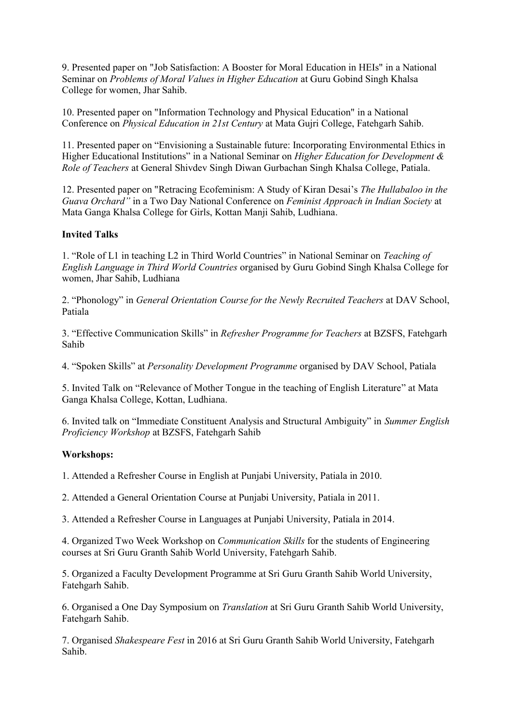9. Presented paper on "Job Satisfaction: A Booster for Moral Education in HEIs" in a National Seminar on *Problems of Moral Values in Higher Education* at Guru Gobind Singh Khalsa College for women, Jhar Sahib.

10. Presented paper on "Information Technology and Physical Education" in a National Conference on *Physical Education in 21st Century* at Mata Gujri College, Fatehgarh Sahib.

11. Presented paper on "Envisioning a Sustainable future: Incorporating Environmental Ethics in Higher Educational Institutions" in a National Seminar on *Higher Education for Development & Role of Teachers* at General Shivdev Singh Diwan Gurbachan Singh Khalsa College, Patiala.

12. Presented paper on "Retracing Ecofeminism: A Study of Kiran Desai's *The Hullabaloo in the Guava Orchard"* in a Two Day National Conference on *Feminist Approach in Indian Society* at Mata Ganga Khalsa College for Girls, Kottan Manji Sahib, Ludhiana.

# **Invited Talks**

1. "Role of L1 in teaching L2 in Third World Countries" in National Seminar on *Teaching of English Language in Third World Countries* organised by Guru Gobind Singh Khalsa College for women, Jhar Sahib, Ludhiana

2. "Phonology" in *General Orientation Course for the Newly Recruited Teachers* at DAV School, Patiala

3. "Effective Communication Skills" in *Refresher Programme for Teachers* at BZSFS, Fatehgarh Sahib

4. "Spoken Skills" at *Personality Development Programme* organised by DAV School, Patiala

5. Invited Talk on "Relevance of Mother Tongue in the teaching of English Literature" at Mata Ganga Khalsa College, Kottan, Ludhiana.

6. Invited talk on "Immediate Constituent Analysis and Structural Ambiguity" in *Summer English Proficiency Workshop* at BZSFS, Fatehgarh Sahib

# **Workshops:**

1. Attended a Refresher Course in English at Punjabi University, Patiala in 2010.

2. Attended a General Orientation Course at Punjabi University, Patiala in 2011.

3. Attended a Refresher Course in Languages at Punjabi University, Patiala in 2014.

4. Organized Two Week Workshop on *Communication Skills* for the students of Engineering courses at Sri Guru Granth Sahib World University, Fatehgarh Sahib.

5. Organized a Faculty Development Programme at Sri Guru Granth Sahib World University, Fatehgarh Sahib.

6. Organised a One Day Symposium on *Translation* at Sri Guru Granth Sahib World University, Fatehgarh Sahib.

7. Organised *Shakespeare Fest* in 2016 at Sri Guru Granth Sahib World University, Fatehgarh Sahib.